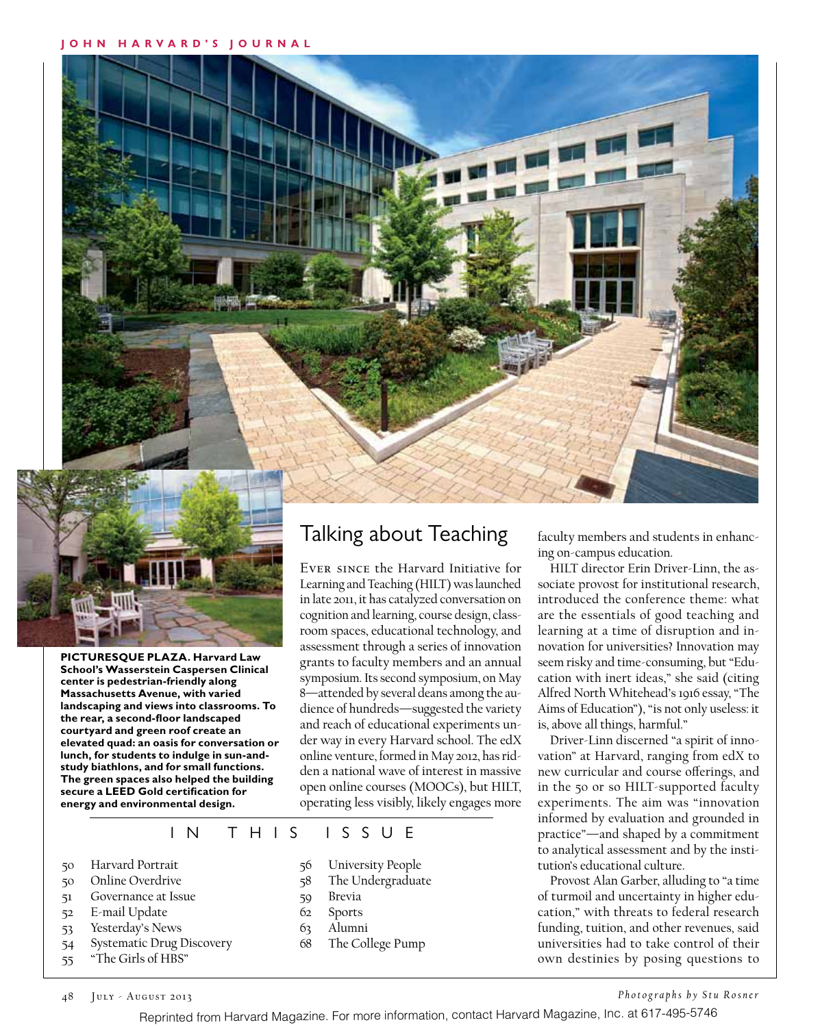

**PICTURESQUE PLAZA. Harvard Law School's Wasserstein Caspersen Clinical center is pedestrian-friendly along Massachusetts Avenue, with varied landscaping and views into classrooms. To the rear, a second-floor landscaped courtyard and green roof create an elevated quad: an oasis for conversation or lunch, for students to indulge in sun-andstudy biathlons, and for small functions. The green spaces also helped the building secure a LEED Gold certification for energy and environmental design.** 

## Talking about Teaching

Ever since the Harvard Initiative for Learning and Teaching (HILT) was launched in late 2011, it has catalyzed conversation on cognition and learning, course design, classroom spaces, educational technology, and assessment through a series of innovation grants to faculty members and an annual symposium. Its second symposium, on May 8—attended by several deans among the audience of hundreds—suggested the variety and reach of educational experiments under way in every Harvard school. The edX online venture, formed in May 2012, has ridden a national wave of interest in massive open online courses (MOOCs), but HILT, operating less visibly, likely engages more

#### IN THIS ISSUE

- 50 Harvard Portrait
- 50 Online Overdrive
- 51 Governance at Issue
- 52 E-mail Update
- 53 Yesterday's News
- 54 Systematic Drug Discovery
- 55 "The Girls of HBS"
- 56 University People
- 58 The Undergraduate
- 59 Brevia
- 62 Sports
- 63 Alumni
- 
- 68 The College Pump

faculty members and students in enhancing on-campus education.

HILT director Erin Driver-Linn, the associate provost for institutional research, introduced the conference theme: what are the essentials of good teaching and learning at a time of disruption and innovation for universities? Innovation may seem risky and time-consuming, but "Education with inert ideas," she said (citing Alfred North Whitehead's 1916 essay, "The Aims of Education"), "is not only useless: it is, above all things, harmful."

Driver-Linn discerned "a spirit of innovation" at Harvard, ranging from edX to new curricular and course offerings, and in the 50 or so HILT-supported faculty experiments. The aim was "innovation informed by evaluation and grounded in practice"—and shaped by a commitment to analytical assessment and by the institution's educational culture.

Provost Alan Garber, alluding to "a time of turmoil and uncertainty in higher education," with threats to federal research funding, tuition, and other revenues, said universities had to take control of their own destinies by posing questions to

48 July - August 2013

*Photographs by Stu Rosner*

Reprinted from Harvard Magazine. For more information, contact Harvard Magazine, Inc. at 617-495-5746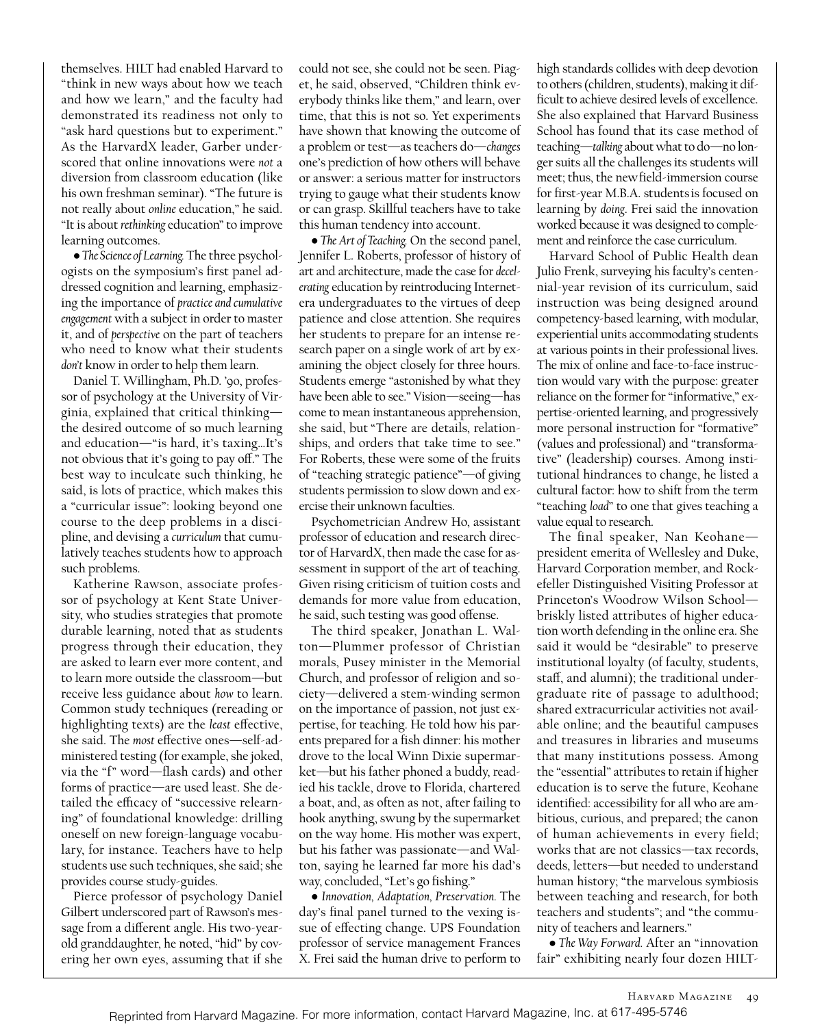themselves. HILT had enabled Harvard to "think in new ways about how we teach and how we learn," and the faculty had demonstrated its readiness not only to "ask hard questions but to experiment." As the HarvardX leader, Garber underscored that online innovations were *not* a diversion from classroom education (like his own freshman seminar). "The future is not really about *online* education," he said. "It is about *rethinking* education" to improve learning outcomes.

• *The Science of Learning.* The three psychologists on the symposium's first panel addressed cognition and learning, emphasizing the importance of *practice and cumulative engagement* with a subject in order to master it, and of *perspective* on the part of teachers who need to know what their students *don't* know in order to help them learn.

Daniel T. Willingham, Ph.D. '90, professor of psychology at the University of Virginia, explained that critical thinking the desired outcome of so much learning and education—"is hard, it's taxing…It's not obvious that it's going to pay off." The best way to inculcate such thinking, he said, is lots of practice, which makes this a "curricular issue": looking beyond one course to the deep problems in a discipline, and devising a *curriculum* that cumulatively teaches students how to approach such problems.

Katherine Rawson, associate professor of psychology at Kent State University, who studies strategies that promote durable learning, noted that as students progress through their education, they are asked to learn ever more content, and to learn more outside the classroom—but receive less guidance about *how* to learn. Common study techniques (rereading or highlighting texts) are the *least* effective, she said. The *most* effective ones—self-administered testing (for example, she joked, via the "f" word—flash cards) and other forms of practice—are used least. She detailed the efficacy of "successive relearning" of foundational knowledge: drilling oneself on new foreign-language vocabulary, for instance. Teachers have to help students use such techniques, she said; she provides course study-guides.

Pierce professor of psychology Daniel Gilbert underscored part of Rawson's message from a different angle. His two-yearold granddaughter, he noted, "hid" by covering her own eyes, assuming that if she

could not see, she could not be seen. Piaget, he said, observed, "Children think everybody thinks like them," and learn, over time, that this is not so. Yet experiments have shown that knowing the outcome of a problem or test—as teachers do—*changes* one's prediction of how others will behave or answer: a serious matter for instructors trying to gauge what their students know or can grasp. Skillful teachers have to take this human tendency into account.

• *The Art of Teaching.* On the second panel, Jennifer L. Roberts, professor of history of art and architecture, made the case for *decelerating* education by reintroducing Internetera undergraduates to the virtues of deep patience and close attention. She requires her students to prepare for an intense research paper on a single work of art by examining the object closely for three hours. Students emerge "astonished by what they have been able to see." Vision—seeing—has come to mean instantaneous apprehension, she said, but "There are details, relationships, and orders that take time to see." For Roberts, these were some of the fruits of "teaching strategic patience"—of giving students permission to slow down and exercise their unknown faculties.

Psychometrician Andrew Ho, assistant professor of education and research director of HarvardX, then made the case for assessment in support of the art of teaching. Given rising criticism of tuition costs and demands for more value from education, he said, such testing was good offense.

The third speaker, Jonathan L. Walton—Plummer professor of Christian morals, Pusey minister in the Memorial Church, and professor of religion and society—delivered a stem-winding sermon on the importance of passion, not just expertise, for teaching. He told how his parents prepared for a fish dinner: his mother drove to the local Winn Dixie supermarket—but his father phoned a buddy, readied his tackle, drove to Florida, chartered a boat, and, as often as not, after failing to hook anything, swung by the supermarket on the way home. His mother was expert, but his father was passionate—and Walton, saying he learned far more his dad's way, concluded, "Let's go fishing."

• *Innovation, Adaptation, Preservation.* The day's final panel turned to the vexing issue of effecting change. UPS Foundation professor of service management Frances X. Frei said the human drive to perform to

high standards collides with deep devotion to others (children, students), making it difficult to achieve desired levels of excellence. She also explained that Harvard Business School has found that its case method of teaching—*talking* about what to do—no longer suits all the challenges its students will meet; thus, the new field-immersion course for first-year M.B.A. students is focused on learning by *doing*. Frei said the innovation worked because it was designed to complement and reinforce the case curriculum.

Harvard School of Public Health dean Julio Frenk, surveying his faculty's centennial-year revision of its curriculum, said instruction was being designed around competency-based learning, with modular, experiential units accommodating students at various points in their professional lives. The mix of online and face-to-face instruction would vary with the purpose: greater reliance on the former for "informative," expertise-oriented learning, and progressively more personal instruction for "formative" (values and professional) and "transformative" (leadership) courses. Among institutional hindrances to change, he listed a cultural factor: how to shift from the term "teaching *load*" to one that gives teaching a value equal to research.

The final speaker, Nan Keohane president emerita of Wellesley and Duke, Harvard Corporation member, and Rockefeller Distinguished Visiting Professor at Princeton's Woodrow Wilson School briskly listed attributes of higher education worth defending in the online era. She said it would be "desirable" to preserve institutional loyalty (of faculty, students, staff, and alumni); the traditional undergraduate rite of passage to adulthood; shared extracurricular activities not available online; and the beautiful campuses and treasures in libraries and museums that many institutions possess. Among the "essential" attributes to retain if higher education is to serve the future, Keohane identified: accessibility for all who are ambitious, curious, and prepared; the canon of human achievements in every field; works that are not classics—tax records, deeds, letters—but needed to understand human history; "the marvelous symbiosis between teaching and research, for both teachers and students"; and "the community of teachers and learners."

• *The Way Forward.* After an "innovation fair" exhibiting nearly four dozen HILT-